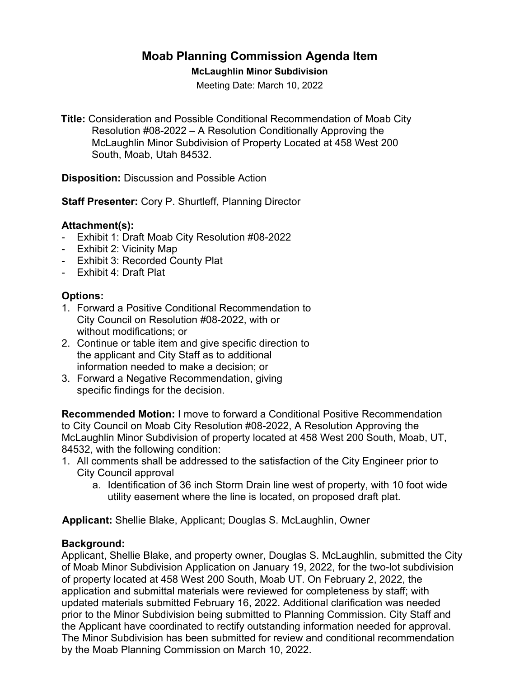# **Moab Planning Commission Agenda Item**

#### **McLaughlin Minor Subdivision**

Meeting Date: March 10, 2022

**Title:** Consideration and Possible Conditional Recommendation of Moab City Resolution #08-2022 – A Resolution Conditionally Approving the McLaughlin Minor Subdivision of Property Located at 458 West 200 South, Moab, Utah 84532.

**Disposition:** Discussion and Possible Action

**Staff Presenter:** Cory P. Shurtleff, Planning Director

# **Attachment(s):**

- Exhibit 1: Draft Moab City Resolution #08-2022
- Exhibit 2: Vicinity Map
- Exhibit 3: Recorded County Plat
- Exhibit 4: Draft Plat

# **Options:**

- 1. Forward a Positive Conditional Recommendation to City Council on Resolution #08-2022, with or without modifications; or
- 2. Continue or table item and give specific direction to the applicant and City Staff as to additional information needed to make a decision; or
- 3. Forward a Negative Recommendation, giving specific findings for the decision.

**Recommended Motion:** I move to forward a Conditional Positive Recommendation to City Council on Moab City Resolution #08-2022, A Resolution Approving the McLaughlin Minor Subdivision of property located at 458 West 200 South, Moab, UT, 84532, with the following condition:

- 1. All comments shall be addressed to the satisfaction of the City Engineer prior to City Council approval
	- a. Identification of 36 inch Storm Drain line west of property, with 10 foot wide utility easement where the line is located, on proposed draft plat.

 **Applicant:** Shellie Blake, Applicant; Douglas S. McLaughlin, Owner

#### **Background:**

Applicant, Shellie Blake, and property owner, Douglas S. McLaughlin, submitted the City of Moab Minor Subdivision Application on January 19, 2022, for the two-lot subdivision of property located at 458 West 200 South, Moab UT. On February 2, 2022, the application and submittal materials were reviewed for completeness by staff; with updated materials submitted February 16, 2022. Additional clarification was needed prior to the Minor Subdivision being submitted to Planning Commission. City Staff and the Applicant have coordinated to rectify outstanding information needed for approval. The Minor Subdivision has been submitted for review and conditional recommendation by the Moab Planning Commission on March 10, 2022.